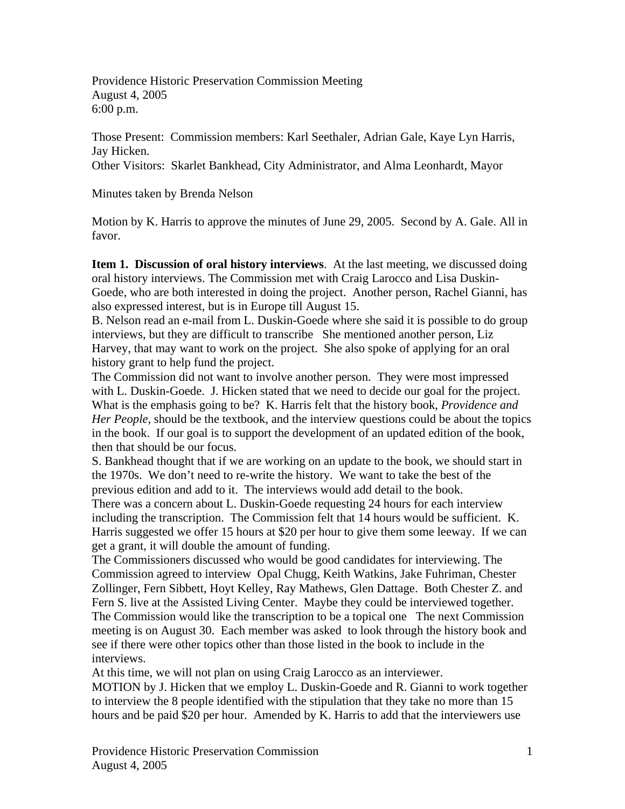Providence Historic Preservation Commission Meeting August 4, 2005 6:00 p.m.

Those Present: Commission members: Karl Seethaler, Adrian Gale, Kaye Lyn Harris, Jay Hicken.

Other Visitors: Skarlet Bankhead, City Administrator, and Alma Leonhardt, Mayor

Minutes taken by Brenda Nelson

Motion by K. Harris to approve the minutes of June 29, 2005. Second by A. Gale. All in favor.

**Item 1. Discussion of oral history interviews**. At the last meeting, we discussed doing oral history interviews. The Commission met with Craig Larocco and Lisa Duskin-Goede, who are both interested in doing the project. Another person, Rachel Gianni, has also expressed interest, but is in Europe till August 15.

B. Nelson read an e-mail from L. Duskin-Goede where she said it is possible to do group interviews, but they are difficult to transcribe She mentioned another person, Liz Harvey, that may want to work on the project. She also spoke of applying for an oral history grant to help fund the project.

The Commission did not want to involve another person. They were most impressed with L. Duskin-Goede. J. Hicken stated that we need to decide our goal for the project. What is the emphasis going to be? K. Harris felt that the history book, *Providence and Her People,* should be the textbook, and the interview questions could be about the topics in the book. If our goal is to support the development of an updated edition of the book, then that should be our focus.

S. Bankhead thought that if we are working on an update to the book, we should start in the 1970s. We don't need to re-write the history. We want to take the best of the previous edition and add to it. The interviews would add detail to the book.

There was a concern about L. Duskin-Goede requesting 24 hours for each interview including the transcription. The Commission felt that 14 hours would be sufficient. K. Harris suggested we offer 15 hours at \$20 per hour to give them some leeway. If we can get a grant, it will double the amount of funding.

The Commissioners discussed who would be good candidates for interviewing. The Commission agreed to interview Opal Chugg, Keith Watkins, Jake Fuhriman, Chester Zollinger, Fern Sibbett, Hoyt Kelley, Ray Mathews, Glen Dattage. Both Chester Z. and Fern S. live at the Assisted Living Center. Maybe they could be interviewed together. The Commission would like the transcription to be a topical one The next Commission meeting is on August 30. Each member was asked to look through the history book and see if there were other topics other than those listed in the book to include in the interviews.

At this time, we will not plan on using Craig Larocco as an interviewer.

MOTION by J. Hicken that we employ L. Duskin-Goede and R. Gianni to work together to interview the 8 people identified with the stipulation that they take no more than 15 hours and be paid \$20 per hour. Amended by K. Harris to add that the interviewers use